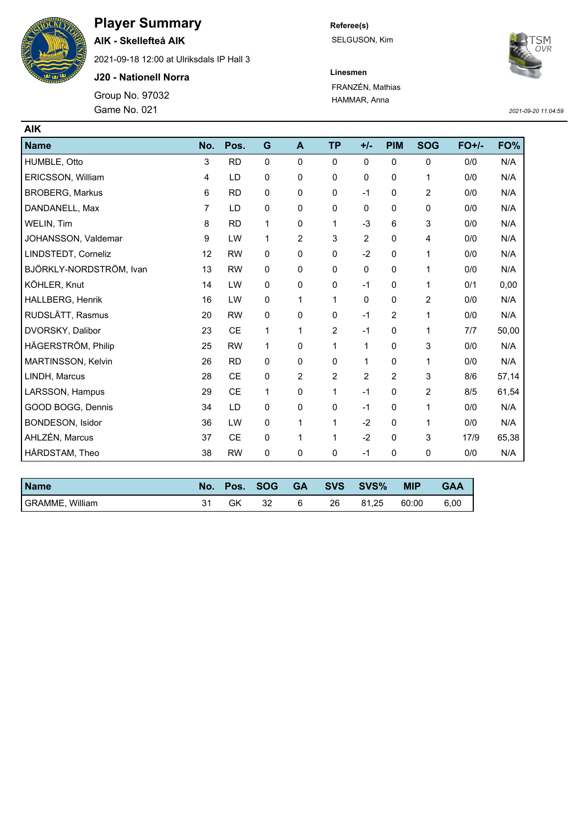

## **Player Summary**

**AIK - Skellefteå AIK**

2021-09-18 12:00 at Ulriksdals IP Hall 3

**J20 - Nationell Norra**

Game No. 021 Group No. 97032 **Referee(s)** SELGUSON, Kim



**Linesmen** FRANZÉN, Mathias HAMMAR, Anna

*2021-09-20 11:04:59*

| <b>AIK</b>              |                |           |             |                |                |                |            |                |         |       |
|-------------------------|----------------|-----------|-------------|----------------|----------------|----------------|------------|----------------|---------|-------|
| <b>Name</b>             | No.            | Pos.      | G           | A              | <b>TP</b>      | $+/-$          | <b>PIM</b> | <b>SOG</b>     | $FO+/-$ | FO%   |
| HUMBLE, Otto            | 3              | <b>RD</b> | $\mathbf 0$ | $\mathbf 0$    | $\mathbf 0$    | 0              | 0          | 0              | 0/0     | N/A   |
| ERICSSON, William       | 4              | LD        | 0           | 0              | 0              | 0              | 0          | 1              | 0/0     | N/A   |
| <b>BROBERG, Markus</b>  | 6              | <b>RD</b> | $\mathbf 0$ | 0              | 0              | $-1$           | 0          | $\overline{c}$ | 0/0     | N/A   |
| DANDANELL, Max          | $\overline{7}$ | LD        | 0           | $\mathbf 0$    | $\mathbf 0$    | 0              | 0          | $\mathbf 0$    | 0/0     | N/A   |
| WELIN, Tim              | 8              | <b>RD</b> | 1           | $\mathbf 0$    | 1              | $-3$           | 6          | 3              | 0/0     | N/A   |
| JOHANSSON, Valdemar     | 9              | LW        | 1           | $\overline{c}$ | 3              | $\overline{2}$ | 0          | 4              | 0/0     | N/A   |
| LINDSTEDT, Corneliz     | 12             | <b>RW</b> | $\mathbf 0$ | $\mathbf 0$    | 0              | $-2$           | 0          | 1              | 0/0     | N/A   |
| BJÖRKLY-NORDSTRÖM, Ivan | 13             | <b>RW</b> | 0           | $\mathbf 0$    | 0              | 0              | 0          | 1              | 0/0     | N/A   |
| KÖHLER, Knut            | 14             | LW        | $\mathbf 0$ | 0              | 0              | $-1$           | 0          | 1              | 0/1     | 0,00  |
| HALLBERG, Henrik        | 16             | LW        | $\mathbf 0$ | 1              | 1              | $\Omega$       | $\Omega$   | 2              | 0/0     | N/A   |
| RUDSLÄTT, Rasmus        | 20             | <b>RW</b> | 0           | $\mathbf 0$    | 0              | $-1$           | 2          | 1              | 0/0     | N/A   |
| DVORSKY, Dalibor        | 23             | <b>CE</b> | 1           | 1              | $\overline{c}$ | $-1$           | 0          | 1              | 7/7     | 50,00 |
| HÄGERSTRÖM, Philip      | 25             | <b>RW</b> | 1           | $\mathbf 0$    | 1              | 1              | $\Omega$   | 3              | 0/0     | N/A   |
| MARTINSSON, Kelvin      | 26             | <b>RD</b> | 0           | $\mathbf 0$    | 0              | 1              | 0          | 1              | 0/0     | N/A   |
| LINDH, Marcus           | 28             | <b>CE</b> | 0           | $\overline{c}$ | 2              | $\overline{2}$ | 2          | 3              | 8/6     | 57,14 |
| LARSSON, Hampus         | 29             | <b>CE</b> | 1           | $\mathbf 0$    | 1              | $-1$           | $\Omega$   | $\overline{c}$ | 8/5     | 61,54 |
| GOOD BOGG, Dennis       | 34             | LD        | 0           | $\mathbf 0$    | 0              | $-1$           | 0          | 1              | 0/0     | N/A   |
| BONDESON, Isidor        | 36             | LW        | 0           | 1              | 1              | $-2$           | 0          | 1              | 0/0     | N/A   |
| AHLZÉN, Marcus          | 37             | <b>CE</b> | $\mathbf 0$ | 1              | 1              | $-2$           | 0          | 3              | 17/9    | 65,38 |
| HÅRDSTAM, Theo          | 38             | <b>RW</b> | 0           | 0              | 0              | $-1$           | 0          | 0              | 0/0     | N/A   |

| <b>Name</b>            | Pos. | <b>SOG</b> | <b>GA</b> |    | SVS SVS% | <b>MIP</b> | <b>GAA</b> |
|------------------------|------|------------|-----------|----|----------|------------|------------|
| <b>GRAMME, William</b> |      | ےر         | 6         | 26 | 81.25    | 60:00      | 6,00       |